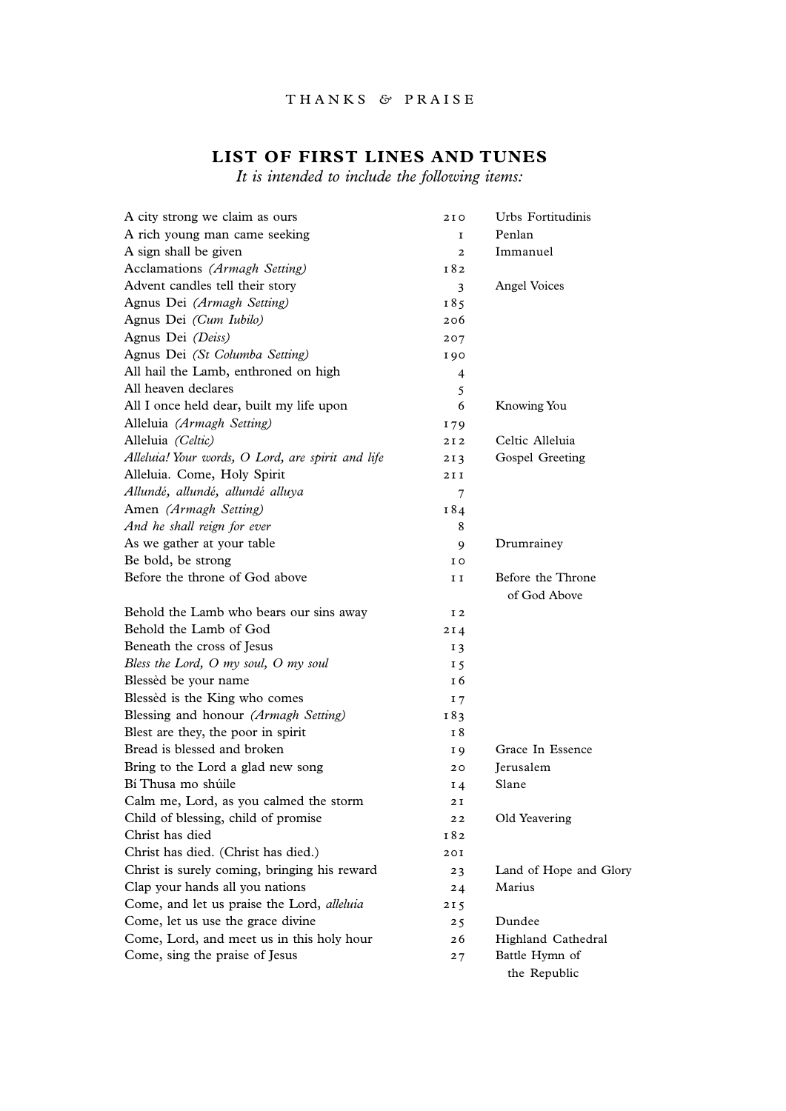## THANKS *&* PRAISE

## **LIST OF FIRST LINES AND TUNES**

*It is intended to include the following items:*

| A city strong we claim as ours                    | 2 I O          | Urbs Fortitudinis                 |
|---------------------------------------------------|----------------|-----------------------------------|
| A rich young man came seeking                     | 1              | Penlan                            |
| A sign shall be given                             | $\mathbf{z}$   | Immanuel                          |
| Acclamations (Armagh Setting)                     | I 82           |                                   |
| Advent candles tell their story                   | 3              | <b>Angel Voices</b>               |
| Agnus Dei (Armagh Setting)                        | I 85           |                                   |
| Agnus Dei (Cum Iubilo)                            | 206            |                                   |
| Agnus Dei (Deiss)                                 | 207            |                                   |
| Agnus Dei (St Columba Setting)                    | 190            |                                   |
| All hail the Lamb, enthroned on high              | 4              |                                   |
| All heaven declares                               | 5              |                                   |
| All I once held dear, built my life upon          | 6              | Knowing You                       |
| Alleluia (Armagh Setting)                         | I 79           |                                   |
| Alleluia (Celtic)                                 | 2 I 2          | Celtic Alleluia                   |
| Alleluia! Your words, O Lord, are spirit and life | 213            | Gospel Greeting                   |
| Alleluia. Come, Holy Spirit                       | 2 I I          |                                   |
| Allundé, allundé, allundé alluya                  | 7              |                                   |
| Amen (Armagh Setting)                             | 184            |                                   |
| And he shall reign for ever                       | 8              |                                   |
| As we gather at your table                        | 9              | Drumrainey                        |
| Be bold, be strong                                | I O            |                                   |
| Before the throne of God above                    | I I            | Before the Throne<br>of God Above |
| Behold the Lamb who bears our sins away           | I 2            |                                   |
| Behold the Lamb of God                            | 2 I 4          |                                   |
| Beneath the cross of Jesus                        | 13             |                                   |
| Bless the Lord, O my soul, O my soul              | 15             |                                   |
| Blessèd be your name                              | 16             |                                   |
| Blessèd is the King who comes                     | I <sub>7</sub> |                                   |
| Blessing and honour (Armagh Setting)              | 183            |                                   |
| Blest are they, the poor in spirit                | 18             |                                   |
| Bread is blessed and broken                       | I 9            | Grace In Essence                  |
| Bring to the Lord a glad new song                 | 20             | Jerusalem                         |
| Bí Thusa mo shúile                                | $I_4$          | Slane                             |
| Calm me, Lord, as you calmed the storm            | 2 I            |                                   |
| Child of blessing, child of promise               | 22             | Old Yeavering                     |
| Christ has died                                   | I 82           |                                   |
| Christ has died. (Christ has died.)               | 201            |                                   |
| Christ is surely coming, bringing his reward      | 23             | Land of Hope and Glory            |
| Clap your hands all you nations                   | 24             | Marius                            |
| Come, and let us praise the Lord, alleluia        | 215            |                                   |
| Come, let us use the grace divine                 | 25             | Dundee                            |
| Come, Lord, and meet us in this holy hour         | 26             | Highland Cathedral                |
| Come, sing the praise of Jesus                    | 27             | Battle Hymn of<br>the Republic    |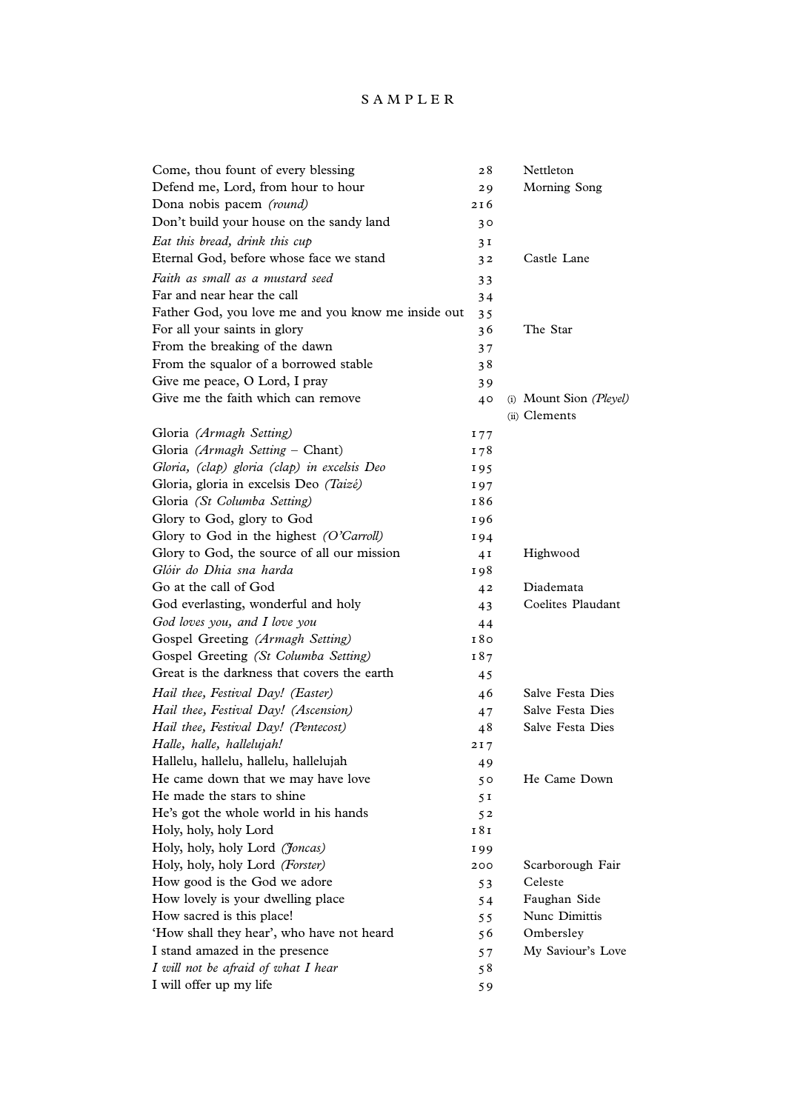## SAMPLER

| Come, thou fount of every blessing                 | 28             | Nettleton               |
|----------------------------------------------------|----------------|-------------------------|
| Defend me, Lord, from hour to hour                 | 29             | Morning Song            |
| Dona nobis pacem (round)                           | 216            |                         |
| Don't build your house on the sandy land           | 30             |                         |
| Eat this bread, drink this cup                     | 3 <sub>1</sub> |                         |
| Eternal God, before whose face we stand            | 3 <sup>2</sup> | Castle Lane             |
| Faith as small as a mustard seed                   | 33             |                         |
| Far and near hear the call                         | 34             |                         |
| Father God, you love me and you know me inside out | 35             |                         |
| For all your saints in glory                       | 36             | The Star                |
| From the breaking of the dawn                      | 37             |                         |
| From the squalor of a borrowed stable              | 38             |                         |
| Give me peace, O Lord, I pray                      | 39             |                         |
| Give me the faith which can remove                 | 40             | (i) Mount Sion (Pleyel) |
|                                                    |                | (ii) Clements           |
| Gloria (Armagh Setting)                            | 177            |                         |
| Gloria (Armagh Setting - Chant)                    | I 78           |                         |
| Gloria, (clap) gloria (clap) in excelsis Deo       | 195            |                         |
| Gloria, gloria in excelsis Deo (Taizé)             | I97            |                         |
| Gloria (St Columba Setting)                        | I86            |                         |
| Glory to God, glory to God                         | 196            |                         |
| Glory to God in the highest (O'Carroll)            | I94            |                         |
| Glory to God, the source of all our mission        | 4I             | Highwood                |
| Glóir do Dhia sna harda                            | 198            |                         |
| Go at the call of God                              | 42             | Diademata               |
| God everlasting, wonderful and holy                | 43             | Coelites Plaudant       |
| God loves you, and I love you                      | 44             |                         |
| Gospel Greeting (Armagh Setting)                   | 180            |                         |
| Gospel Greeting (St Columba Setting)               | I 87           |                         |
| Great is the darkness that covers the earth        | 45             |                         |
| Hail thee, Festival Day! (Easter)                  | 46             | Salve Festa Dies        |
| Hail thee, Festival Day! (Ascension)               | 47             | Salve Festa Dies        |
| Hail thee, Festival Day! (Pentecost)               | 48             | Salve Festa Dies        |
| Halle, halle, hallelujah!                          | 217            |                         |
| Hallelu, hallelu, hallelu, hallelujah              | 49             |                         |
| He came down that we may have love                 | 50             | He Came Down            |
| He made the stars to shine                         | 5I             |                         |
| He's got the whole world in his hands              | 5 <sub>2</sub> |                         |
| Holy, holy, holy Lord                              | 181            |                         |
| Holy, holy, holy Lord (Joncas)                     | I 99           |                         |
| Holy, holy, holy Lord (Forster)                    | 200            | Scarborough Fair        |
| How good is the God we adore                       | 53             | Celeste                 |
| How lovely is your dwelling place                  | 54             | Faughan Side            |
| How sacred is this place!                          | 55             | Nunc Dimittis           |
| 'How shall they hear', who have not heard          | 56             | Ombersley               |
| I stand amazed in the presence                     | 57             | My Saviour's Love       |
| I will not be afraid of what I hear                | 58             |                         |
| I will offer up my life                            | 59             |                         |
|                                                    |                |                         |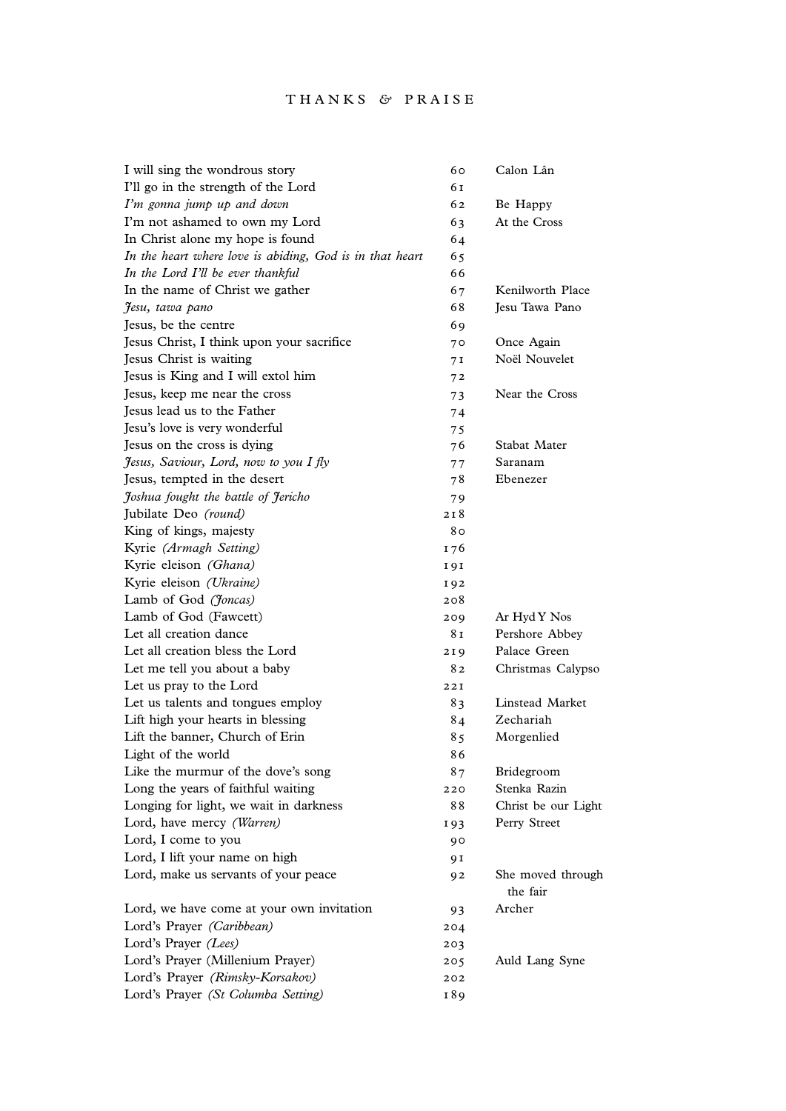| I will sing the wondrous story                           | 60   | Calon Lân                     |
|----------------------------------------------------------|------|-------------------------------|
| I'll go in the strength of the Lord                      | 61   |                               |
| I'm gonna jump up and down                               | 62   | Be Happy                      |
| I'm not ashamed to own my Lord                           | 63   | At the Cross                  |
| In Christ alone my hope is found                         | 64   |                               |
| In the heart where love is abiding, God is in that heart | 65   |                               |
| In the Lord I'll be ever thankful                        | 66   |                               |
| In the name of Christ we gather                          | 67   | Kenilworth Place              |
| Jesu, tawa pano                                          | 68   | Jesu Tawa Pano                |
| Jesus, be the centre                                     | 69   |                               |
| Jesus Christ, I think upon your sacrifice                | 70   | Once Again                    |
| Jesus Christ is waiting                                  | 7 I  | Noël Nouvelet                 |
| Jesus is King and I will extol him                       | 72   |                               |
| Jesus, keep me near the cross                            | 73   | Near the Cross                |
| Jesus lead us to the Father                              | 74   |                               |
| Jesu's love is very wonderful                            | 75   |                               |
| Jesus on the cross is dying                              | 76   | Stabat Mater                  |
| Jesus, Saviour, Lord, now to you I fly                   | 77   | Saranam                       |
| Jesus, tempted in the desert                             | 78   | Ebenezer                      |
| Joshua fought the battle of Jericho                      | 79   |                               |
| Jubilate Deo (round)                                     | 218  |                               |
| King of kings, majesty                                   | 80   |                               |
| Kyrie (Armagh Setting)                                   | I 76 |                               |
| Kyrie eleison (Ghana)                                    | 191  |                               |
| Kyrie eleison (Ukraine)                                  | 192  |                               |
| Lamb of God (Joncas)                                     | 208  |                               |
| Lamb of God (Fawcett)                                    | 209  | Ar Hyd Y Nos                  |
| Let all creation dance                                   | 81   | Pershore Abbey                |
| Let all creation bless the Lord                          | 219  | Palace Green                  |
| Let me tell you about a baby                             | 82   | Christmas Calypso             |
| Let us pray to the Lord                                  | 22I  |                               |
| Let us talents and tongues employ                        | 83   | Linstead Market               |
| Lift high your hearts in blessing                        | 84   | Zechariah                     |
| Lift the banner, Church of Erin                          | 85   | Morgenlied                    |
| Light of the world                                       | 86   |                               |
| Like the murmur of the dove's song                       | 87   | Bridegroom                    |
| Long the years of faithful waiting                       | 220  | Stenka Razin                  |
| Longing for light, we wait in darkness                   | 88   | Christ be our Light           |
| Lord, have mercy (Warren)                                | 193  | Perry Street                  |
| Lord, I come to you                                      | 90   |                               |
| Lord, I lift your name on high                           | 9 I  |                               |
| Lord, make us servants of your peace                     | 92   | She moved through<br>the fair |
| Lord, we have come at your own invitation                | 93   | Archer                        |
| Lord's Prayer (Caribbean)                                | 204  |                               |
| Lord's Prayer (Lees)                                     | 203  |                               |
| Lord's Prayer (Millenium Prayer)                         | 205  | Auld Lang Syne                |
| Lord's Prayer (Rimsky-Korsakov)                          | 202  |                               |
| Lord's Prayer (St Columba Setting)                       | I89  |                               |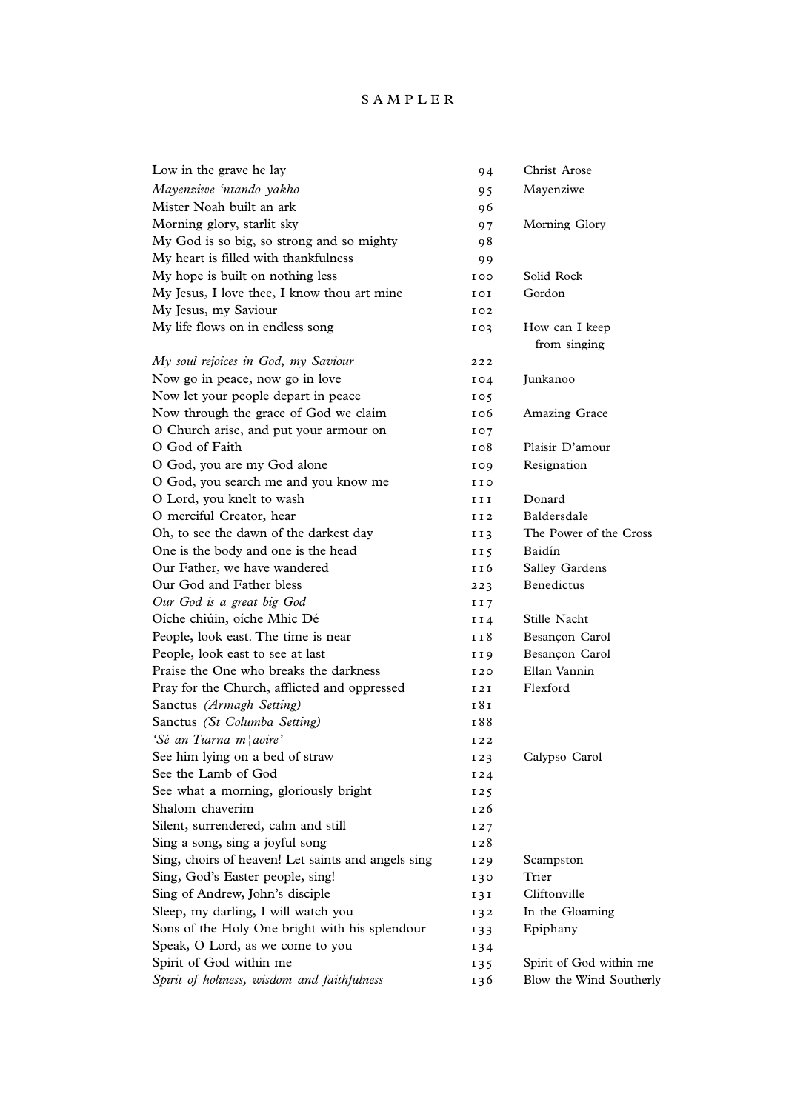## SAMPLER

| Low in the grave he lay                            | 94               | Christ Arose                   |
|----------------------------------------------------|------------------|--------------------------------|
| Mayenziwe 'ntando yakho                            | 95               | Mayenziwe                      |
| Mister Noah built an ark                           | 96               |                                |
| Morning glory, starlit sky                         | 97               | Morning Glory                  |
| My God is so big, so strong and so mighty          | 98               |                                |
| My heart is filled with thankfulness               | 99               |                                |
| My hope is built on nothing less                   | <b>IOO</b>       | Solid Rock                     |
| My Jesus, I love thee, I know thou art mine        | <b>IOI</b>       | Gordon                         |
| My Jesus, my Saviour                               | I 02             |                                |
| My life flows on in endless song                   | 103              | How can I keep<br>from singing |
| My soul rejoices in God, my Saviour                | 222              |                                |
| Now go in peace, now go in love                    | $I_{04}$         | Junkanoo                       |
| Now let your people depart in peace                | 105              |                                |
| Now through the grace of God we claim              | 1 0 6            | Amazing Grace                  |
| O Church arise, and put your armour on             | 107              |                                |
| O God of Faith                                     | 108              | Plaisir D'amour                |
| O God, you are my God alone                        | I 09             | Resignation                    |
| O God, you search me and you know me               | <b>IIO</b>       |                                |
| O Lord, you knelt to wash                          | 1 I I            | Donard                         |
| O merciful Creator, hear                           | II <sub>2</sub>  | Baldersdale                    |
| Oh, to see the dawn of the darkest day             | II <sub>3</sub>  | The Power of the Cross         |
| One is the body and one is the head                | II <sub>5</sub>  | Baidín                         |
| Our Father, we have wandered                       | 1 I 6            | Salley Gardens                 |
| Our God and Father bless                           | 223              | Benedictus                     |
| Our God is a great big God                         | II7              |                                |
| Oíche chiúin, oíche Mhic Dé                        | I <sub>14</sub>  | Stille Nacht                   |
| People, look east. The time is near                | 1 I 8            | Besançon Carol                 |
| People, look east to see at last                   | I I 9            | Besançon Carol                 |
| Praise the One who breaks the darkness             | I 20             | Ellan Vannin                   |
| Pray for the Church, afflicted and oppressed       | 121              | Flexford                       |
| Sanctus (Armagh Setting)                           | 18 <sub>1</sub>  |                                |
| Sanctus (St Columba Setting)                       | I 88             |                                |
| 'Sé an Tiarna m¦aoire'                             | I 22             |                                |
| See him lying on a bed of straw                    | I <sub>23</sub>  | Calypso Carol                  |
| See the Lamb of God                                | I24              |                                |
| See what a morning, gloriously bright              | I25              |                                |
| Shalom chaverim                                    | I <sub>26</sub>  |                                |
| Silent, surrendered, calm and still                | 127              |                                |
| Sing a song, sing a joyful song                    | I <sub>2</sub> 8 |                                |
| Sing, choirs of heaven! Let saints and angels sing | I <sub>29</sub>  | Scampston                      |
| Sing, God's Easter people, sing!                   | 130              | Trier                          |
| Sing of Andrew, John's disciple                    | 131              | Cliftonville                   |
| Sleep, my darling, I will watch you                | 132              | In the Gloaming                |
| Sons of the Holy One bright with his splendour     | 133              | Epiphany                       |
| Speak, O Lord, as we come to you                   | 134              |                                |
| Spirit of God within me                            | 135              | Spirit of God within me        |
| Spirit of holiness, wisdom and faithfulness        | 136              | Blow the Wind Southerly        |